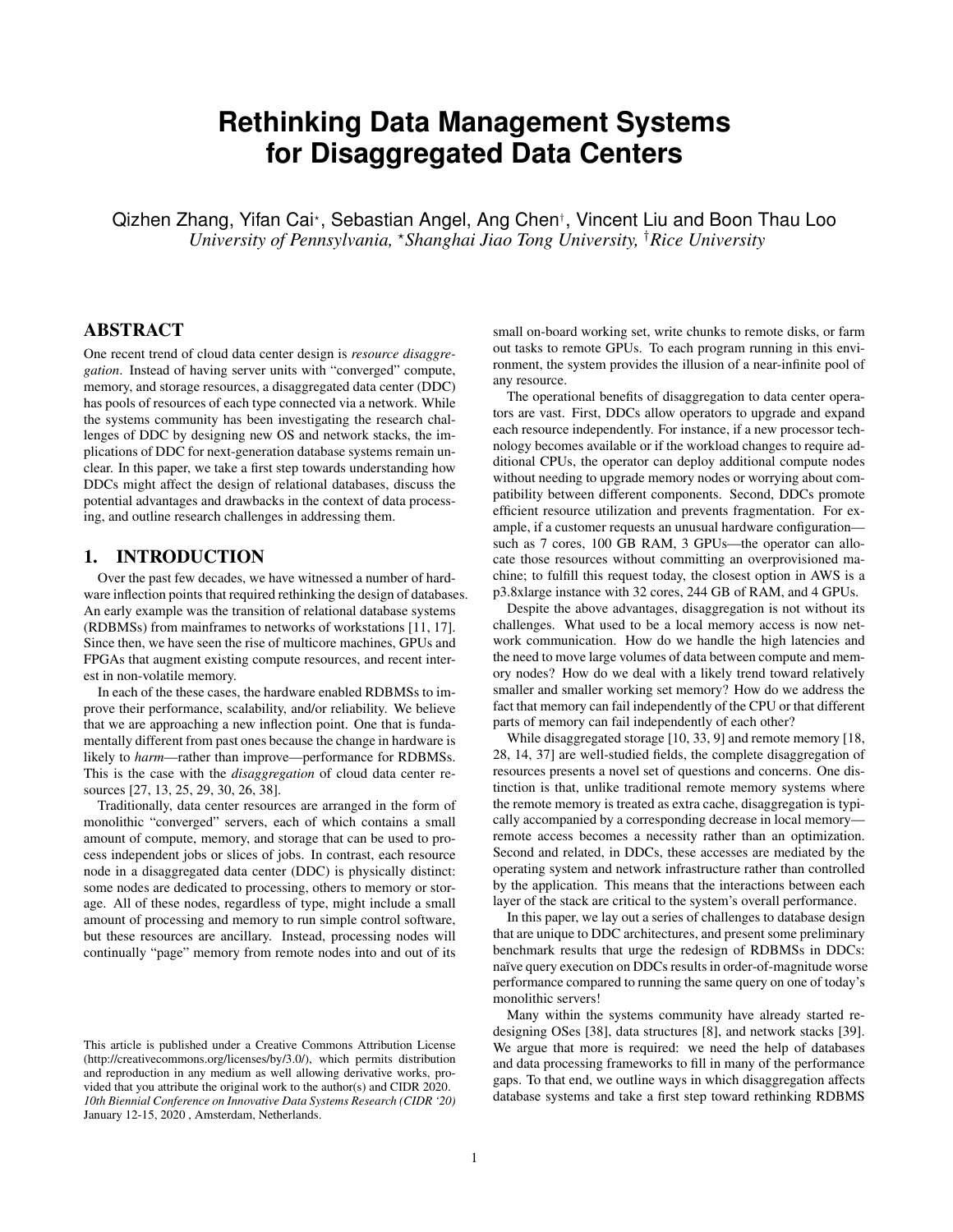# **Rethinking Data Management Systems for Disaggregated Data Centers**

Qizhen Zhang, Yifan Cai\*, Sebastian Angel, Ang Chen†, Vincent Liu and Boon Thau Loo *University of Pennsylvania,* ?*Shanghai Jiao Tong University,* †*Rice University*

## ABSTRACT

One recent trend of cloud data center design is *resource disaggregation*. Instead of having server units with "converged" compute, memory, and storage resources, a disaggregated data center (DDC) has pools of resources of each type connected via a network. While the systems community has been investigating the research challenges of DDC by designing new OS and network stacks, the implications of DDC for next-generation database systems remain unclear. In this paper, we take a first step towards understanding how DDCs might affect the design of relational databases, discuss the potential advantages and drawbacks in the context of data processing, and outline research challenges in addressing them.

## 1. INTRODUCTION

Over the past few decades, we have witnessed a number of hardware inflection points that required rethinking the design of databases. An early example was the transition of relational database systems (RDBMSs) from mainframes to networks of workstations [\[11,](#page-6-0) [17\]](#page-6-1). Since then, we have seen the rise of multicore machines, GPUs and FPGAs that augment existing compute resources, and recent interest in non-volatile memory.

In each of the these cases, the hardware enabled RDBMSs to improve their performance, scalability, and/or reliability. We believe that we are approaching a new inflection point. One that is fundamentally different from past ones because the change in hardware is likely to *harm*—rather than improve—performance for RDBMSs. This is the case with the *disaggregation* of cloud data center resources [\[27,](#page-7-0) [13,](#page-6-2) [25,](#page-6-3) [29,](#page-7-1) [30,](#page-7-2) [26,](#page-7-3) [38\]](#page-7-4).

Traditionally, data center resources are arranged in the form of monolithic "converged" servers, each of which contains a small amount of compute, memory, and storage that can be used to process independent jobs or slices of jobs. In contrast, each resource node in a disaggregated data center (DDC) is physically distinct: some nodes are dedicated to processing, others to memory or storage. All of these nodes, regardless of type, might include a small amount of processing and memory to run simple control software, but these resources are ancillary. Instead, processing nodes will continually "page" memory from remote nodes into and out of its

small on-board working set, write chunks to remote disks, or farm out tasks to remote GPUs. To each program running in this environment, the system provides the illusion of a near-infinite pool of any resource.

The operational benefits of disaggregation to data center operators are vast. First, DDCs allow operators to upgrade and expand each resource independently. For instance, if a new processor technology becomes available or if the workload changes to require additional CPUs, the operator can deploy additional compute nodes without needing to upgrade memory nodes or worrying about compatibility between different components. Second, DDCs promote efficient resource utilization and prevents fragmentation. For example, if a customer requests an unusual hardware configuration such as 7 cores, 100 GB RAM, 3 GPUs—the operator can allocate those resources without committing an overprovisioned machine; to fulfill this request today, the closest option in AWS is a p3.8xlarge instance with 32 cores, 244 GB of RAM, and 4 GPUs.

Despite the above advantages, disaggregation is not without its challenges. What used to be a local memory access is now network communication. How do we handle the high latencies and the need to move large volumes of data between compute and memory nodes? How do we deal with a likely trend toward relatively smaller and smaller working set memory? How do we address the fact that memory can fail independently of the CPU or that different parts of memory can fail independently of each other?

While disaggregated storage [\[10,](#page-6-4) [33,](#page-7-5) [9\]](#page-6-5) and remote memory [\[18,](#page-6-6) [28,](#page-7-6) [14,](#page-6-7) [37\]](#page-7-7) are well-studied fields, the complete disaggregation of resources presents a novel set of questions and concerns. One distinction is that, unlike traditional remote memory systems where the remote memory is treated as extra cache, disaggregation is typically accompanied by a corresponding decrease in local memory remote access becomes a necessity rather than an optimization. Second and related, in DDCs, these accesses are mediated by the operating system and network infrastructure rather than controlled by the application. This means that the interactions between each layer of the stack are critical to the system's overall performance.

In this paper, we lay out a series of challenges to database design that are unique to DDC architectures, and present some preliminary benchmark results that urge the redesign of RDBMSs in DDCs: naïve query execution on DDCs results in order-of-magnitude worse performance compared to running the same query on one of today's monolithic servers!

Many within the systems community have already started redesigning OSes [\[38\]](#page-7-4), data structures [\[8\]](#page-6-8), and network stacks [\[39\]](#page-7-8). We argue that more is required: we need the help of databases and data processing frameworks to fill in many of the performance gaps. To that end, we outline ways in which disaggregation affects database systems and take a first step toward rethinking RDBMS

This article is published under a Creative Commons Attribution License (http://creativecommons.org/licenses/by/3.0/), which permits distribution and reproduction in any medium as well allowing derivative works, provided that you attribute the original work to the author(s) and CIDR 2020. *10th Biennial Conference on Innovative Data Systems Research (CIDR '20)* January 12-15, 2020 , Amsterdam, Netherlands.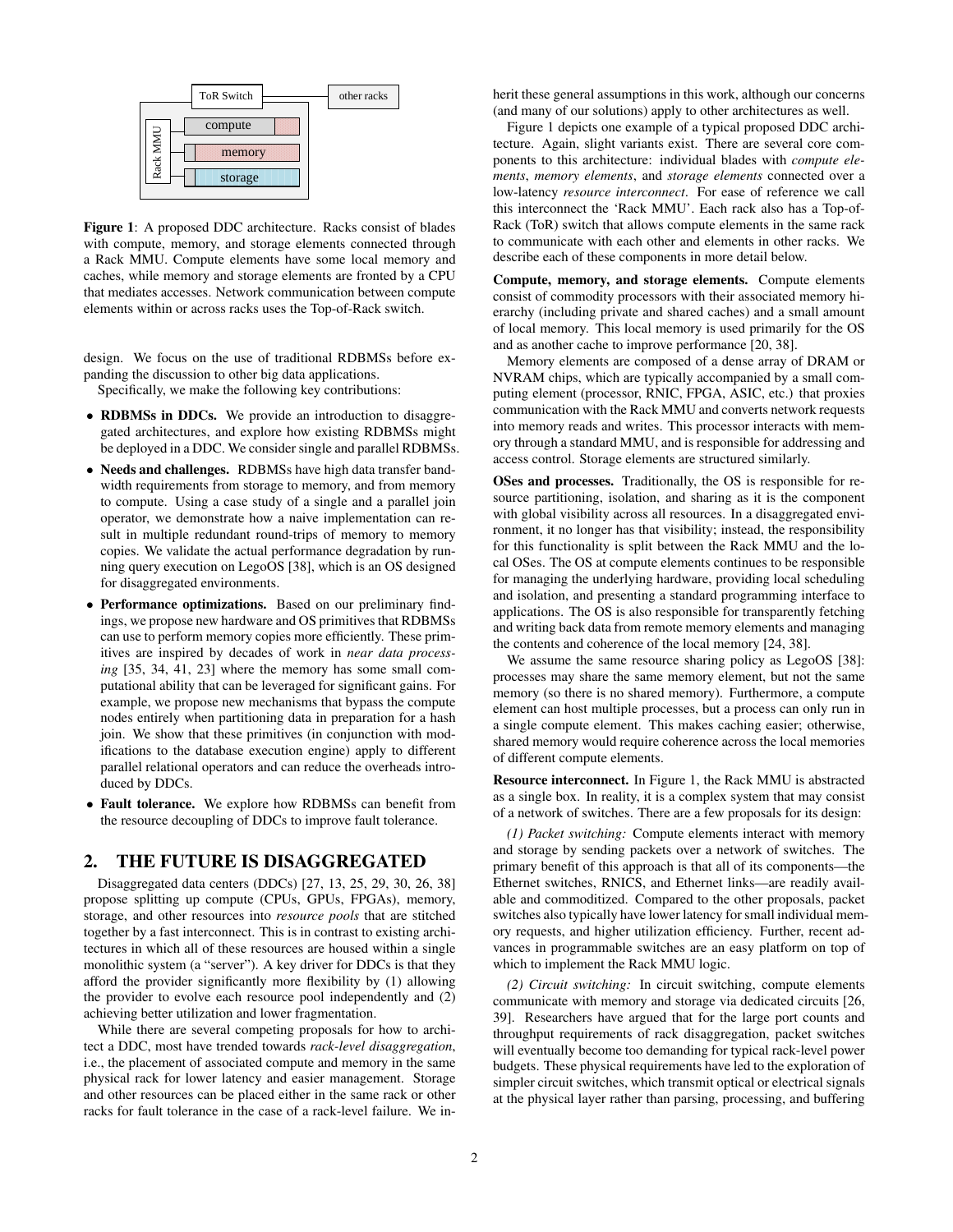

<span id="page-1-0"></span>Figure 1: A proposed DDC architecture. Racks consist of blades with compute, memory, and storage elements connected through a Rack MMU. Compute elements have some local memory and caches, while memory and storage elements are fronted by a CPU that mediates accesses. Network communication between compute elements within or across racks uses the Top-of-Rack switch.

design. We focus on the use of traditional RDBMSs before expanding the discussion to other big data applications.

Specifically, we make the following key contributions:

- RDBMSs in DDCs. We provide an introduction to disaggregated architectures, and explore how existing RDBMSs might be deployed in a DDC. We consider single and parallel RDBMSs.
- Needs and challenges. RDBMSs have high data transfer bandwidth requirements from storage to memory, and from memory to compute. Using a case study of a single and a parallel join operator, we demonstrate how a naive implementation can result in multiple redundant round-trips of memory to memory copies. We validate the actual performance degradation by running query execution on LegoOS [\[38\]](#page-7-4), which is an OS designed for disaggregated environments.
- Performance optimizations. Based on our preliminary findings, we propose new hardware and OS primitives that RDBMSs can use to perform memory copies more efficiently. These primitives are inspired by decades of work in *near data processing* [\[35,](#page-7-9) [34,](#page-7-10) [41,](#page-7-11) [23\]](#page-6-9) where the memory has some small computational ability that can be leveraged for significant gains. For example, we propose new mechanisms that bypass the compute nodes entirely when partitioning data in preparation for a hash join. We show that these primitives (in conjunction with modifications to the database execution engine) apply to different parallel relational operators and can reduce the overheads introduced by DDCs.
- Fault tolerance. We explore how RDBMSs can benefit from the resource decoupling of DDCs to improve fault tolerance.

#### 2. THE FUTURE IS DISAGGREGATED

Disaggregated data centers (DDCs) [\[27,](#page-7-0) [13,](#page-6-2) [25,](#page-6-3) [29,](#page-7-1) [30,](#page-7-2) [26,](#page-7-3) [38\]](#page-7-4) propose splitting up compute (CPUs, GPUs, FPGAs), memory, storage, and other resources into *resource pools* that are stitched together by a fast interconnect. This is in contrast to existing architectures in which all of these resources are housed within a single monolithic system (a "server"). A key driver for DDCs is that they afford the provider significantly more flexibility by (1) allowing the provider to evolve each resource pool independently and (2) achieving better utilization and lower fragmentation.

While there are several competing proposals for how to architect a DDC, most have trended towards *rack-level disaggregation*, i.e., the placement of associated compute and memory in the same physical rack for lower latency and easier management. Storage and other resources can be placed either in the same rack or other racks for fault tolerance in the case of a rack-level failure. We inherit these general assumptions in this work, although our concerns (and many of our solutions) apply to other architectures as well.

Figure [1](#page-1-0) depicts one example of a typical proposed DDC architecture. Again, slight variants exist. There are several core components to this architecture: individual blades with *compute elements*, *memory elements*, and *storage elements* connected over a low-latency *resource interconnect*. For ease of reference we call this interconnect the 'Rack MMU'. Each rack also has a Top-of-Rack (ToR) switch that allows compute elements in the same rack to communicate with each other and elements in other racks. We describe each of these components in more detail below.

Compute, memory, and storage elements. Compute elements consist of commodity processors with their associated memory hierarchy (including private and shared caches) and a small amount of local memory. This local memory is used primarily for the OS and as another cache to improve performance [\[20,](#page-6-10) [38\]](#page-7-4).

Memory elements are composed of a dense array of DRAM or NVRAM chips, which are typically accompanied by a small computing element (processor, RNIC, FPGA, ASIC, etc.) that proxies communication with the Rack MMU and converts network requests into memory reads and writes. This processor interacts with memory through a standard MMU, and is responsible for addressing and access control. Storage elements are structured similarly.

OSes and processes. Traditionally, the OS is responsible for resource partitioning, isolation, and sharing as it is the component with global visibility across all resources. In a disaggregated environment, it no longer has that visibility; instead, the responsibility for this functionality is split between the Rack MMU and the local OSes. The OS at compute elements continues to be responsible for managing the underlying hardware, providing local scheduling and isolation, and presenting a standard programming interface to applications. The OS is also responsible for transparently fetching and writing back data from remote memory elements and managing the contents and coherence of the local memory [\[24,](#page-6-11) [38\]](#page-7-4).

We assume the same resource sharing policy as LegoOS [\[38\]](#page-7-4): processes may share the same memory element, but not the same memory (so there is no shared memory). Furthermore, a compute element can host multiple processes, but a process can only run in a single compute element. This makes caching easier; otherwise, shared memory would require coherence across the local memories of different compute elements.

Resource interconnect. In Figure [1,](#page-1-0) the Rack MMU is abstracted as a single box. In reality, it is a complex system that may consist of a network of switches. There are a few proposals for its design:

*(1) Packet switching:* Compute elements interact with memory and storage by sending packets over a network of switches. The primary benefit of this approach is that all of its components—the Ethernet switches, RNICS, and Ethernet links—are readily available and commoditized. Compared to the other proposals, packet switches also typically have lower latency for small individual memory requests, and higher utilization efficiency. Further, recent advances in programmable switches are an easy platform on top of which to implement the Rack MMU logic.

*(2) Circuit switching:* In circuit switching, compute elements communicate with memory and storage via dedicated circuits [\[26,](#page-7-3) [39\]](#page-7-8). Researchers have argued that for the large port counts and throughput requirements of rack disaggregation, packet switches will eventually become too demanding for typical rack-level power budgets. These physical requirements have led to the exploration of simpler circuit switches, which transmit optical or electrical signals at the physical layer rather than parsing, processing, and buffering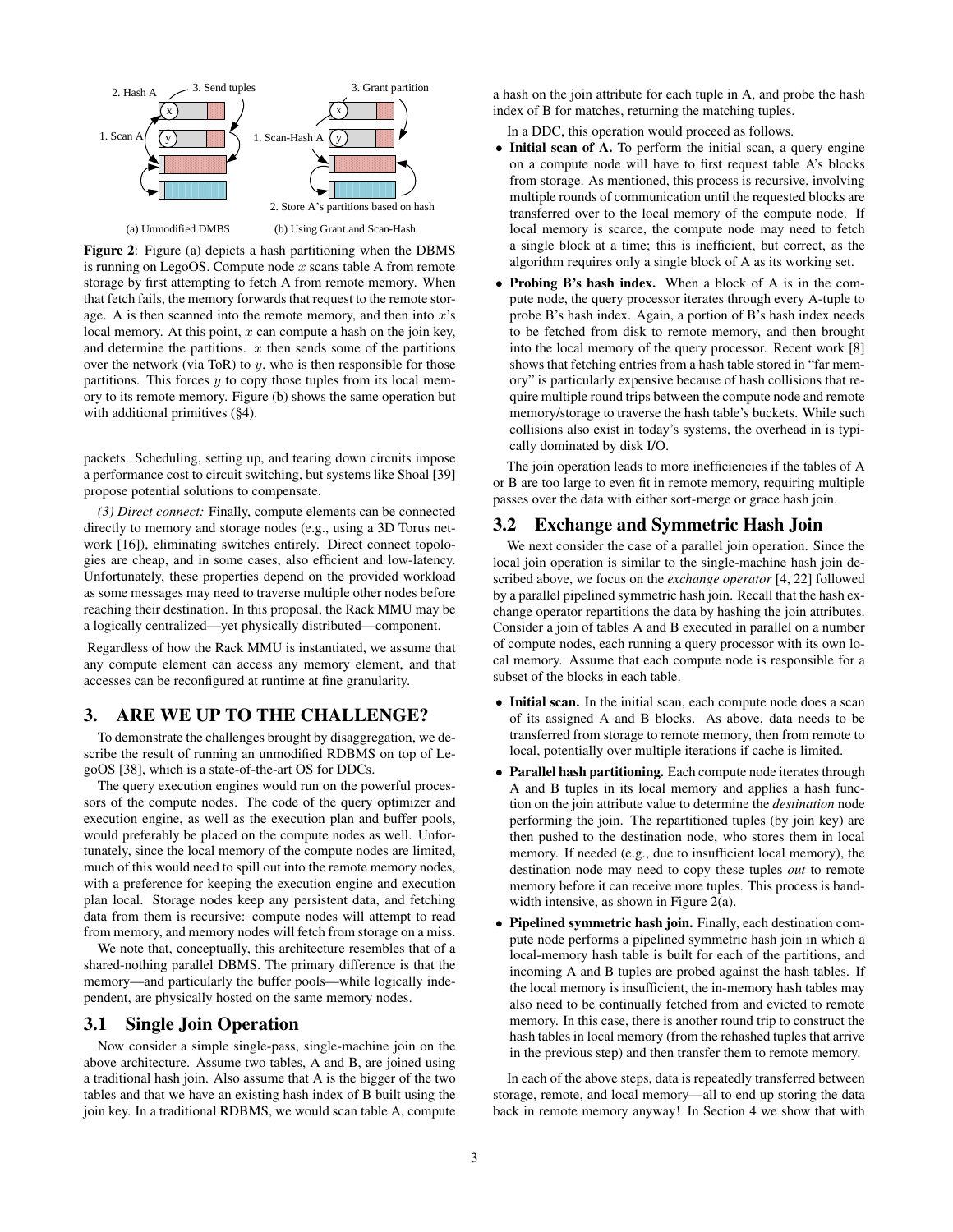

<span id="page-2-0"></span>Figure 2: Figure (a) depicts a hash partitioning when the DBMS is running on LegoOS. Compute node  $x$  scans table A from remote storage by first attempting to fetch A from remote memory. When that fetch fails, the memory forwards that request to the remote storage. A is then scanned into the remote memory, and then into  $x$ 's local memory. At this point,  $x$  can compute a hash on the join key, and determine the partitions.  $x$  then sends some of the partitions over the network (via ToR) to  $y$ , who is then responsible for those partitions. This forces  $y$  to copy those tuples from its local memory to its remote memory. Figure (b) shows the same operation but with additional primitives ([§4\)](#page-4-0).

packets. Scheduling, setting up, and tearing down circuits impose a performance cost to circuit switching, but systems like Shoal [\[39\]](#page-7-8) propose potential solutions to compensate.

*(3) Direct connect:* Finally, compute elements can be connected directly to memory and storage nodes (e.g., using a 3D Torus network [\[16\]](#page-6-12)), eliminating switches entirely. Direct connect topologies are cheap, and in some cases, also efficient and low-latency. Unfortunately, these properties depend on the provided workload as some messages may need to traverse multiple other nodes before reaching their destination. In this proposal, the Rack MMU may be a logically centralized—yet physically distributed—component.

Regardless of how the Rack MMU is instantiated, we assume that any compute element can access any memory element, and that accesses can be reconfigured at runtime at fine granularity.

### <span id="page-2-1"></span>3. ARE WE UP TO THE CHALLENGE?

To demonstrate the challenges brought by disaggregation, we describe the result of running an unmodified RDBMS on top of LegoOS [\[38\]](#page-7-4), which is a state-of-the-art OS for DDCs.

The query execution engines would run on the powerful processors of the compute nodes. The code of the query optimizer and execution engine, as well as the execution plan and buffer pools, would preferably be placed on the compute nodes as well. Unfortunately, since the local memory of the compute nodes are limited, much of this would need to spill out into the remote memory nodes, with a preference for keeping the execution engine and execution plan local. Storage nodes keep any persistent data, and fetching data from them is recursive: compute nodes will attempt to read from memory, and memory nodes will fetch from storage on a miss.

We note that, conceptually, this architecture resembles that of a shared-nothing parallel DBMS. The primary difference is that the memory—and particularly the buffer pools—while logically independent, are physically hosted on the same memory nodes.

### 3.1 Single Join Operation

Now consider a simple single-pass, single-machine join on the above architecture. Assume two tables, A and B, are joined using a traditional hash join. Also assume that A is the bigger of the two tables and that we have an existing hash index of B built using the join key. In a traditional RDBMS, we would scan table A, compute

a hash on the join attribute for each tuple in A, and probe the hash index of B for matches, returning the matching tuples.

In a DDC, this operation would proceed as follows.

- Initial scan of A. To perform the initial scan, a query engine on a compute node will have to first request table A's blocks from storage. As mentioned, this process is recursive, involving multiple rounds of communication until the requested blocks are transferred over to the local memory of the compute node. If local memory is scarce, the compute node may need to fetch a single block at a time; this is inefficient, but correct, as the algorithm requires only a single block of A as its working set.
- Probing B's hash index. When a block of A is in the compute node, the query processor iterates through every A-tuple to probe B's hash index. Again, a portion of B's hash index needs to be fetched from disk to remote memory, and then brought into the local memory of the query processor. Recent work [\[8\]](#page-6-8) shows that fetching entries from a hash table stored in "far memory" is particularly expensive because of hash collisions that require multiple round trips between the compute node and remote memory/storage to traverse the hash table's buckets. While such collisions also exist in today's systems, the overhead in is typically dominated by disk I/O.

The join operation leads to more inefficiencies if the tables of A or B are too large to even fit in remote memory, requiring multiple passes over the data with either sort-merge or grace hash join.

#### 3.2 Exchange and Symmetric Hash Join

We next consider the case of a parallel join operation. Since the local join operation is similar to the single-machine hash join described above, we focus on the *exchange operator* [\[4,](#page-6-13) [22\]](#page-6-14) followed by a parallel pipelined symmetric hash join. Recall that the hash exchange operator repartitions the data by hashing the join attributes. Consider a join of tables A and B executed in parallel on a number of compute nodes, each running a query processor with its own local memory. Assume that each compute node is responsible for a subset of the blocks in each table.

- Initial scan. In the initial scan, each compute node does a scan of its assigned A and B blocks. As above, data needs to be transferred from storage to remote memory, then from remote to local, potentially over multiple iterations if cache is limited.
- Parallel hash partitioning. Each compute node iterates through A and B tuples in its local memory and applies a hash function on the join attribute value to determine the *destination* node performing the join. The repartitioned tuples (by join key) are then pushed to the destination node, who stores them in local memory. If needed (e.g., due to insufficient local memory), the destination node may need to copy these tuples *out* to remote memory before it can receive more tuples. This process is band-width intensive, as shown in Figure [2\(](#page-2-0)a).
- Pipelined symmetric hash join. Finally, each destination compute node performs a pipelined symmetric hash join in which a local-memory hash table is built for each of the partitions, and incoming A and B tuples are probed against the hash tables. If the local memory is insufficient, the in-memory hash tables may also need to be continually fetched from and evicted to remote memory. In this case, there is another round trip to construct the hash tables in local memory (from the rehashed tuples that arrive in the previous step) and then transfer them to remote memory.

In each of the above steps, data is repeatedly transferred between storage, remote, and local memory—all to end up storing the data back in remote memory anyway! In Section [4](#page-4-0) we show that with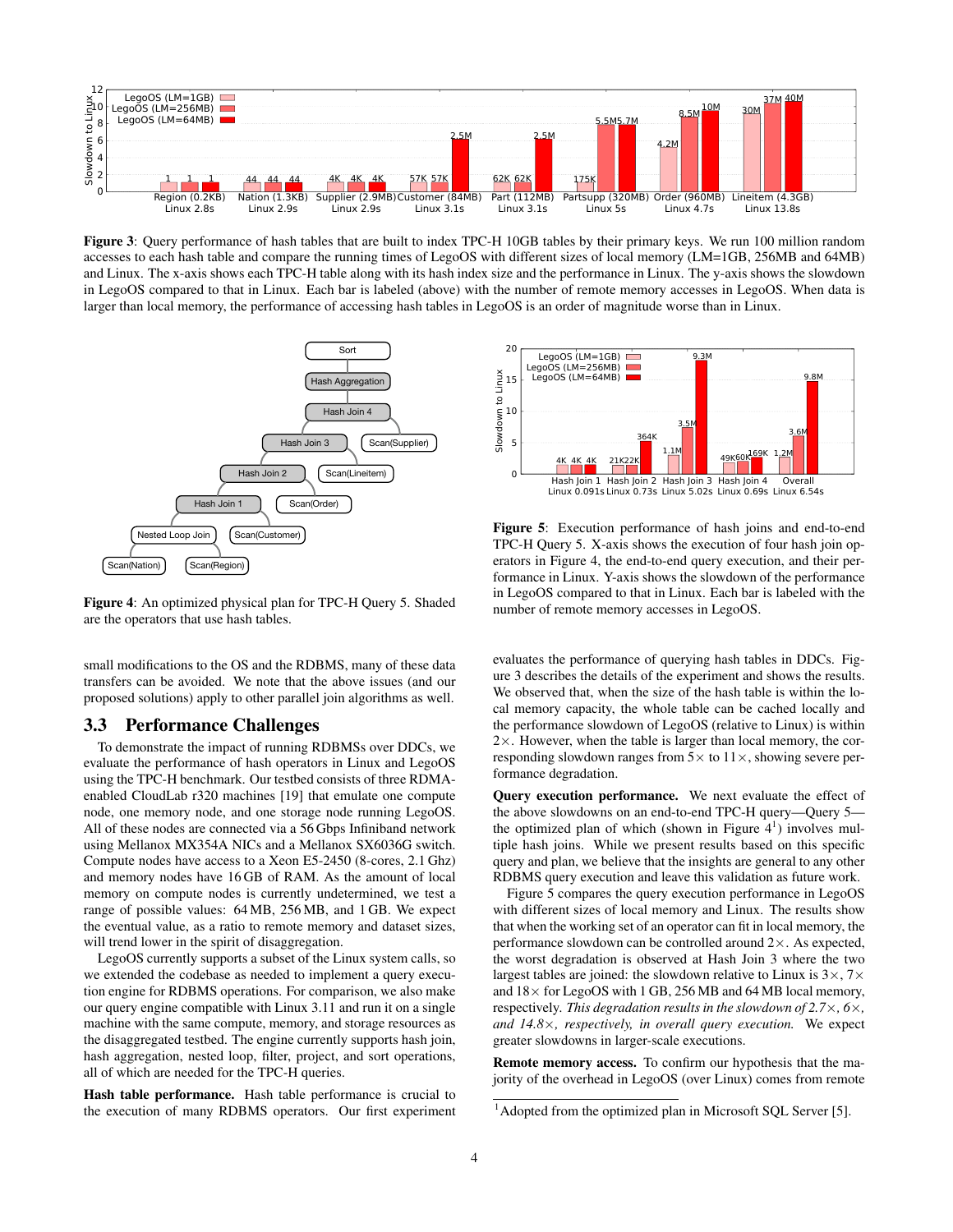

<span id="page-3-1"></span>Figure 3: Query performance of hash tables that are built to index TPC-H 10GB tables by their primary keys. We run 100 million random accesses to each hash table and compare the running times of LegoOS with different sizes of local memory (LM=1GB, 256MB and 64MB) and Linux. The x-axis shows each TPC-H table along with its hash index size and the performance in Linux. The y-axis shows the slowdown in LegoOS compared to that in Linux. Each bar is labeled (above) with the number of remote memory accesses in LegoOS. When data is larger than local memory, the performance of accessing hash tables in LegoOS is an order of magnitude worse than in Linux.



<span id="page-3-0"></span>Figure 4: An optimized physical plan for TPC-H Query 5. Shaded are the operators that use hash tables.

small modifications to the OS and the RDBMS, many of these data transfers can be avoided. We note that the above issues (and our proposed solutions) apply to other parallel join algorithms as well.

#### 3.3 Performance Challenges

To demonstrate the impact of running RDBMSs over DDCs, we evaluate the performance of hash operators in Linux and LegoOS using the TPC-H benchmark. Our testbed consists of three RDMAenabled CloudLab r320 machines [\[19\]](#page-6-15) that emulate one compute node, one memory node, and one storage node running LegoOS. All of these nodes are connected via a 56 Gbps Infiniband network using Mellanox MX354A NICs and a Mellanox SX6036G switch. Compute nodes have access to a Xeon E5-2450 (8-cores, 2.1 Ghz) and memory nodes have 16 GB of RAM. As the amount of local memory on compute nodes is currently undetermined, we test a range of possible values: 64 MB, 256 MB, and 1 GB. We expect the eventual value, as a ratio to remote memory and dataset sizes, will trend lower in the spirit of disaggregation.

LegoOS currently supports a subset of the Linux system calls, so we extended the codebase as needed to implement a query execution engine for RDBMS operations. For comparison, we also make our query engine compatible with Linux 3.11 and run it on a single machine with the same compute, memory, and storage resources as the disaggregated testbed. The engine currently supports hash join, hash aggregation, nested loop, filter, project, and sort operations, all of which are needed for the TPC-H queries.

Hash table performance. Hash table performance is crucial to the execution of many RDBMS operators. Our first experiment



<span id="page-3-2"></span>Figure 5: Execution performance of hash joins and end-to-end TPC-H Query 5. X-axis shows the execution of four hash join operators in Figure [4,](#page-3-0) the end-to-end query execution, and their performance in Linux. Y-axis shows the slowdown of the performance in LegoOS compared to that in Linux. Each bar is labeled with the number of remote memory accesses in LegoOS.

evaluates the performance of querying hash tables in DDCs. Figure [3](#page-3-1) describes the details of the experiment and shows the results. We observed that, when the size of the hash table is within the local memory capacity, the whole table can be cached locally and the performance slowdown of LegoOS (relative to Linux) is within 2×. However, when the table is larger than local memory, the corresponding slowdown ranges from  $5\times$  to  $11\times$ , showing severe performance degradation.

Query execution performance. We next evaluate the effect of the above slowdowns on an end-to-end TPC-H query—Query 5 the optimized plan of which (shown in Figure  $4^1$ ) involves multiple hash joins. While we present results based on this specific query and plan, we believe that the insights are general to any other RDBMS query execution and leave this validation as future work.

Figure [5](#page-3-2) compares the query execution performance in LegoOS with different sizes of local memory and Linux. The results show that when the working set of an operator can fit in local memory, the performance slowdown can be controlled around  $2\times$ . As expected, the worst degradation is observed at Hash Join 3 where the two largest tables are joined: the slowdown relative to Linux is  $3\times$ ,  $7\times$ and  $18\times$  for LegoOS with 1 GB, 256 MB and 64 MB local memory, respectively. *This degradation results in the slowdown of 2.7*×*, 6*×*, and 14.8*×*, respectively, in overall query execution.* We expect greater slowdowns in larger-scale executions.

Remote memory access. To confirm our hypothesis that the majority of the overhead in LegoOS (over Linux) comes from remote

<sup>&</sup>lt;sup>1</sup>Adopted from the optimized plan in Microsoft SQL Server [\[5\]](#page-6-16).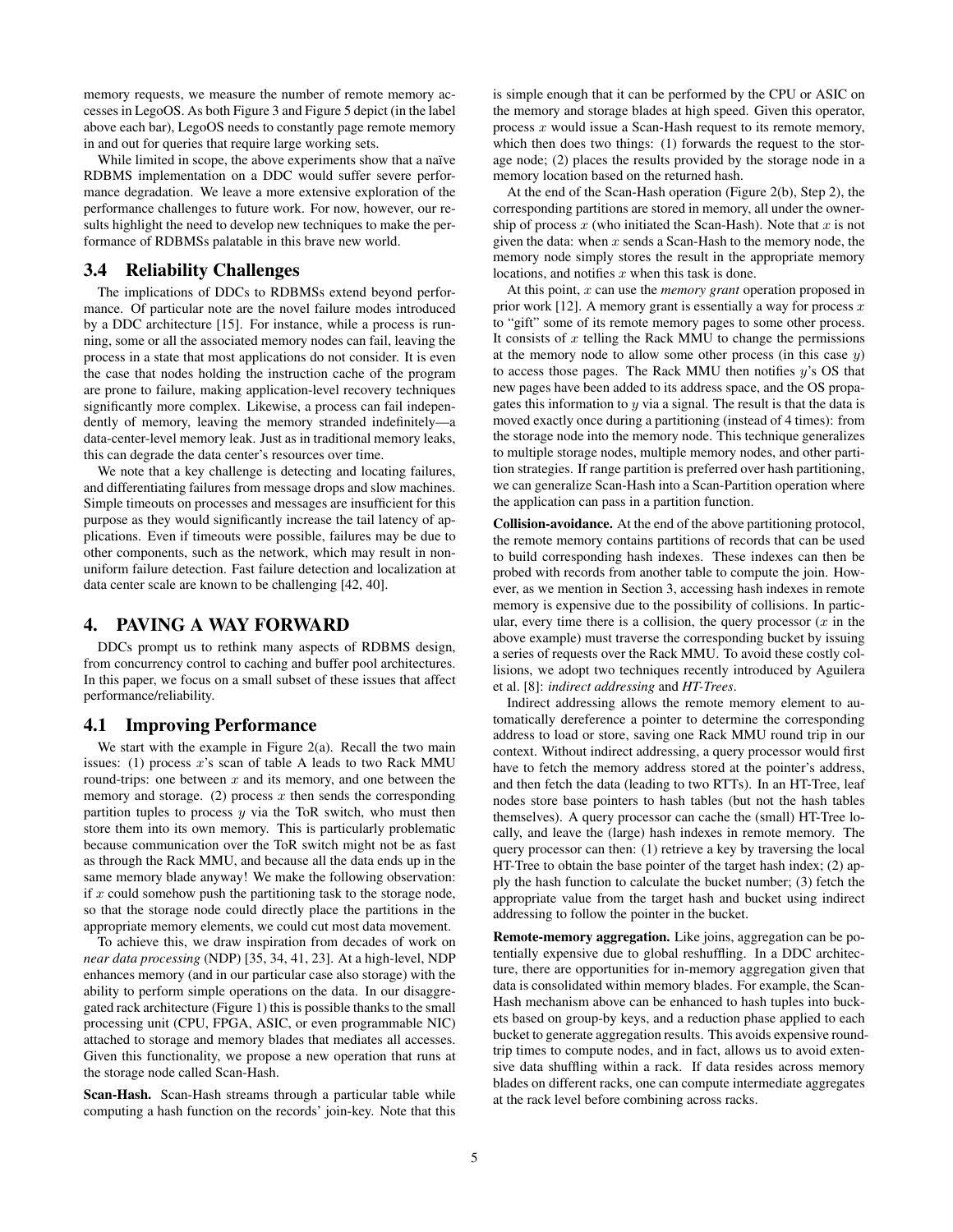memory requests, we measure the number of remote memory accesses in LegoOS. As both Figure [3](#page-3-1) and Figure [5](#page-3-2) depict (in the label above each bar), LegoOS needs to constantly page remote memory in and out for queries that require large working sets.

While limited in scope, the above experiments show that a naïve RDBMS implementation on a DDC would suffer severe performance degradation. We leave a more extensive exploration of the performance challenges to future work. For now, however, our results highlight the need to develop new techniques to make the performance of RDBMSs palatable in this brave new world.

### 3.4 Reliability Challenges

The implications of DDCs to RDBMSs extend beyond performance. Of particular note are the novel failure modes introduced by a DDC architecture [\[15\]](#page-6-17). For instance, while a process is running, some or all the associated memory nodes can fail, leaving the process in a state that most applications do not consider. It is even the case that nodes holding the instruction cache of the program are prone to failure, making application-level recovery techniques significantly more complex. Likewise, a process can fail independently of memory, leaving the memory stranded indefinitely—a data-center-level memory leak. Just as in traditional memory leaks, this can degrade the data center's resources over time.

We note that a key challenge is detecting and locating failures, and differentiating failures from message drops and slow machines. Simple timeouts on processes and messages are insufficient for this purpose as they would significantly increase the tail latency of applications. Even if timeouts were possible, failures may be due to other components, such as the network, which may result in nonuniform failure detection. Fast failure detection and localization at data center scale are known to be challenging [\[42,](#page-7-12) [40\]](#page-7-13).

### <span id="page-4-0"></span>4. PAVING A WAY FORWARD

DDCs prompt us to rethink many aspects of RDBMS design, from concurrency control to caching and buffer pool architectures. In this paper, we focus on a small subset of these issues that affect performance/reliability.

#### 4.1 Improving Performance

We start with the example in Figure [2\(](#page-2-0)a). Recall the two main issues: (1) process  $x$ 's scan of table A leads to two Rack MMU round-trips: one between  $x$  and its memory, and one between the memory and storage. (2) process  $x$  then sends the corresponding partition tuples to process  $y$  via the ToR switch, who must then store them into its own memory. This is particularly problematic because communication over the ToR switch might not be as fast as through the Rack MMU, and because all the data ends up in the same memory blade anyway! We make the following observation: if  $x$  could somehow push the partitioning task to the storage node, so that the storage node could directly place the partitions in the appropriate memory elements, we could cut most data movement.

To achieve this, we draw inspiration from decades of work on *near data processing* (NDP) [\[35,](#page-7-9) [34,](#page-7-10) [41,](#page-7-11) [23\]](#page-6-9). At a high-level, NDP enhances memory (and in our particular case also storage) with the ability to perform simple operations on the data. In our disaggregated rack architecture (Figure [1\)](#page-1-0) this is possible thanks to the small processing unit (CPU, FPGA, ASIC, or even programmable NIC) attached to storage and memory blades that mediates all accesses. Given this functionality, we propose a new operation that runs at the storage node called Scan-Hash.

Scan-Hash. Scan-Hash streams through a particular table while computing a hash function on the records' join-key. Note that this is simple enough that it can be performed by the CPU or ASIC on the memory and storage blades at high speed. Given this operator, process  $x$  would issue a Scan-Hash request to its remote memory, which then does two things: (1) forwards the request to the storage node; (2) places the results provided by the storage node in a memory location based on the returned hash.

At the end of the Scan-Hash operation (Figure [2\(](#page-2-0)b), Step 2), the corresponding partitions are stored in memory, all under the ownership of process  $x$  (who initiated the Scan-Hash). Note that  $x$  is not given the data: when  $x$  sends a Scan-Hash to the memory node, the memory node simply stores the result in the appropriate memory locations, and notifies  $x$  when this task is done.

At this point, x can use the *memory grant* operation proposed in prior work [\[12\]](#page-6-18). A memory grant is essentially a way for process  $x$ to "gift" some of its remote memory pages to some other process. It consists of  $x$  telling the Rack MMU to change the permissions at the memory node to allow some other process (in this case  $y$ ) to access those pages. The Rack MMU then notifies  $y$ 's OS that new pages have been added to its address space, and the OS propagates this information to  $y$  via a signal. The result is that the data is moved exactly once during a partitioning (instead of 4 times): from the storage node into the memory node. This technique generalizes to multiple storage nodes, multiple memory nodes, and other partition strategies. If range partition is preferred over hash partitioning, we can generalize Scan-Hash into a Scan-Partition operation where the application can pass in a partition function.

Collision-avoidance. At the end of the above partitioning protocol, the remote memory contains partitions of records that can be used to build corresponding hash indexes. These indexes can then be probed with records from another table to compute the join. However, as we mention in Section [3,](#page-2-1) accessing hash indexes in remote memory is expensive due to the possibility of collisions. In particular, every time there is a collision, the query processor  $(x)$  in the above example) must traverse the corresponding bucket by issuing a series of requests over the Rack MMU. To avoid these costly collisions, we adopt two techniques recently introduced by Aguilera et al. [\[8\]](#page-6-8): *indirect addressing* and *HT-Trees*.

Indirect addressing allows the remote memory element to automatically dereference a pointer to determine the corresponding address to load or store, saving one Rack MMU round trip in our context. Without indirect addressing, a query processor would first have to fetch the memory address stored at the pointer's address, and then fetch the data (leading to two RTTs). In an HT-Tree, leaf nodes store base pointers to hash tables (but not the hash tables themselves). A query processor can cache the (small) HT-Tree locally, and leave the (large) hash indexes in remote memory. The query processor can then: (1) retrieve a key by traversing the local HT-Tree to obtain the base pointer of the target hash index; (2) apply the hash function to calculate the bucket number; (3) fetch the appropriate value from the target hash and bucket using indirect addressing to follow the pointer in the bucket.

Remote-memory aggregation. Like joins, aggregation can be potentially expensive due to global reshuffling. In a DDC architecture, there are opportunities for in-memory aggregation given that data is consolidated within memory blades. For example, the Scan-Hash mechanism above can be enhanced to hash tuples into buckets based on group-by keys, and a reduction phase applied to each bucket to generate aggregation results. This avoids expensive roundtrip times to compute nodes, and in fact, allows us to avoid extensive data shuffling within a rack. If data resides across memory blades on different racks, one can compute intermediate aggregates at the rack level before combining across racks.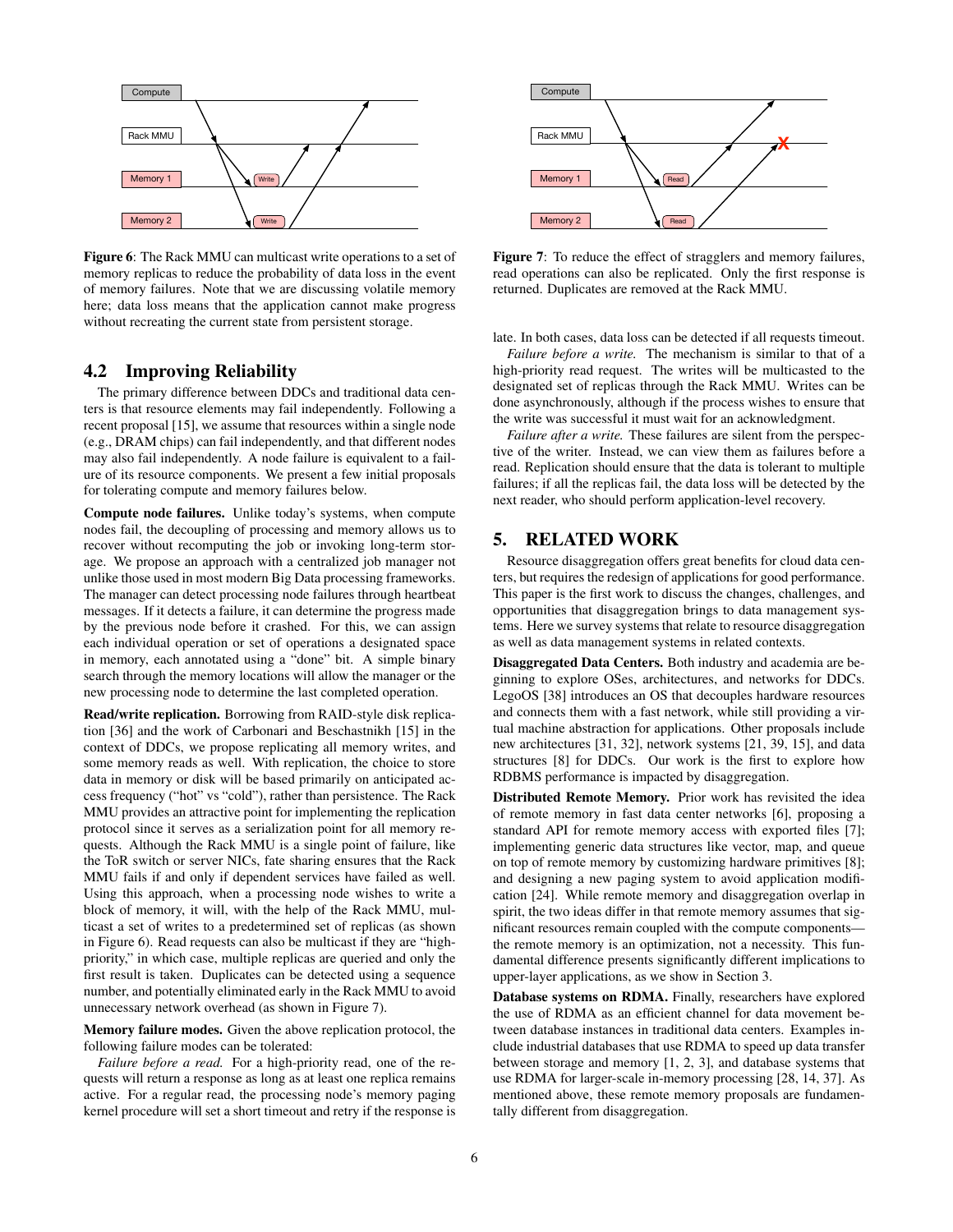

<span id="page-5-0"></span>Figure 6: The Rack MMU can multicast write operations to a set of memory replicas to reduce the probability of data loss in the event of memory failures. Note that we are discussing volatile memory here; data loss means that the application cannot make progress without recreating the current state from persistent storage.

### 4.2 Improving Reliability

The primary difference between DDCs and traditional data centers is that resource elements may fail independently. Following a recent proposal [\[15\]](#page-6-17), we assume that resources within a single node (e.g., DRAM chips) can fail independently, and that different nodes may also fail independently. A node failure is equivalent to a failure of its resource components. We present a few initial proposals for tolerating compute and memory failures below.

Compute node failures. Unlike today's systems, when compute nodes fail, the decoupling of processing and memory allows us to recover without recomputing the job or invoking long-term storage. We propose an approach with a centralized job manager not unlike those used in most modern Big Data processing frameworks. The manager can detect processing node failures through heartbeat messages. If it detects a failure, it can determine the progress made by the previous node before it crashed. For this, we can assign each individual operation or set of operations a designated space in memory, each annotated using a "done" bit. A simple binary search through the memory locations will allow the manager or the new processing node to determine the last completed operation.

Read/write replication. Borrowing from RAID-style disk replication [\[36\]](#page-7-14) and the work of Carbonari and Beschastnikh [\[15\]](#page-6-17) in the context of DDCs, we propose replicating all memory writes, and some memory reads as well. With replication, the choice to store data in memory or disk will be based primarily on anticipated access frequency ("hot" vs "cold"), rather than persistence. The Rack MMU provides an attractive point for implementing the replication protocol since it serves as a serialization point for all memory requests. Although the Rack MMU is a single point of failure, like the ToR switch or server NICs, fate sharing ensures that the Rack MMU fails if and only if dependent services have failed as well. Using this approach, when a processing node wishes to write a block of memory, it will, with the help of the Rack MMU, multicast a set of writes to a predetermined set of replicas (as shown in Figure [6\)](#page-5-0). Read requests can also be multicast if they are "highpriority," in which case, multiple replicas are queried and only the first result is taken. Duplicates can be detected using a sequence number, and potentially eliminated early in the Rack MMU to avoid unnecessary network overhead (as shown in Figure [7\)](#page-5-1).

Memory failure modes. Given the above replication protocol, the following failure modes can be tolerated:

*Failure before a read.* For a high-priority read, one of the requests will return a response as long as at least one replica remains active. For a regular read, the processing node's memory paging kernel procedure will set a short timeout and retry if the response is



<span id="page-5-1"></span>Figure 7: To reduce the effect of stragglers and memory failures, read operations can also be replicated. Only the first response is returned. Duplicates are removed at the Rack MMU.

late. In both cases, data loss can be detected if all requests timeout.

*Failure before a write.* The mechanism is similar to that of a high-priority read request. The writes will be multicasted to the designated set of replicas through the Rack MMU. Writes can be done asynchronously, although if the process wishes to ensure that the write was successful it must wait for an acknowledgment.

*Failure after a write.* These failures are silent from the perspective of the writer. Instead, we can view them as failures before a read. Replication should ensure that the data is tolerant to multiple failures; if all the replicas fail, the data loss will be detected by the next reader, who should perform application-level recovery.

# 5. RELATED WORK

Resource disaggregation offers great benefits for cloud data centers, but requires the redesign of applications for good performance. This paper is the first work to discuss the changes, challenges, and opportunities that disaggregation brings to data management systems. Here we survey systems that relate to resource disaggregation as well as data management systems in related contexts.

Disaggregated Data Centers. Both industry and academia are beginning to explore OSes, architectures, and networks for DDCs. LegoOS [\[38\]](#page-7-4) introduces an OS that decouples hardware resources and connects them with a fast network, while still providing a virtual machine abstraction for applications. Other proposals include new architectures [\[31,](#page-7-15) [32\]](#page-7-16), network systems [\[21,](#page-6-19) [39,](#page-7-8) [15\]](#page-6-17), and data structures [\[8\]](#page-6-8) for DDCs. Our work is the first to explore how RDBMS performance is impacted by disaggregation.

Distributed Remote Memory. Prior work has revisited the idea of remote memory in fast data center networks [\[6\]](#page-6-20), proposing a standard API for remote memory access with exported files [\[7\]](#page-6-21); implementing generic data structures like vector, map, and queue on top of remote memory by customizing hardware primitives [\[8\]](#page-6-8); and designing a new paging system to avoid application modification [\[24\]](#page-6-11). While remote memory and disaggregation overlap in spirit, the two ideas differ in that remote memory assumes that significant resources remain coupled with the compute components the remote memory is an optimization, not a necessity. This fundamental difference presents significantly different implications to upper-layer applications, as we show in Section [3.](#page-2-1)

Database systems on RDMA. Finally, researchers have explored the use of RDMA as an efficient channel for data movement between database instances in traditional data centers. Examples include industrial databases that use RDMA to speed up data transfer between storage and memory [\[1,](#page-6-22) [2,](#page-6-23) [3\]](#page-6-24), and database systems that use RDMA for larger-scale in-memory processing [\[28,](#page-7-6) [14,](#page-6-7) [37\]](#page-7-7). As mentioned above, these remote memory proposals are fundamentally different from disaggregation.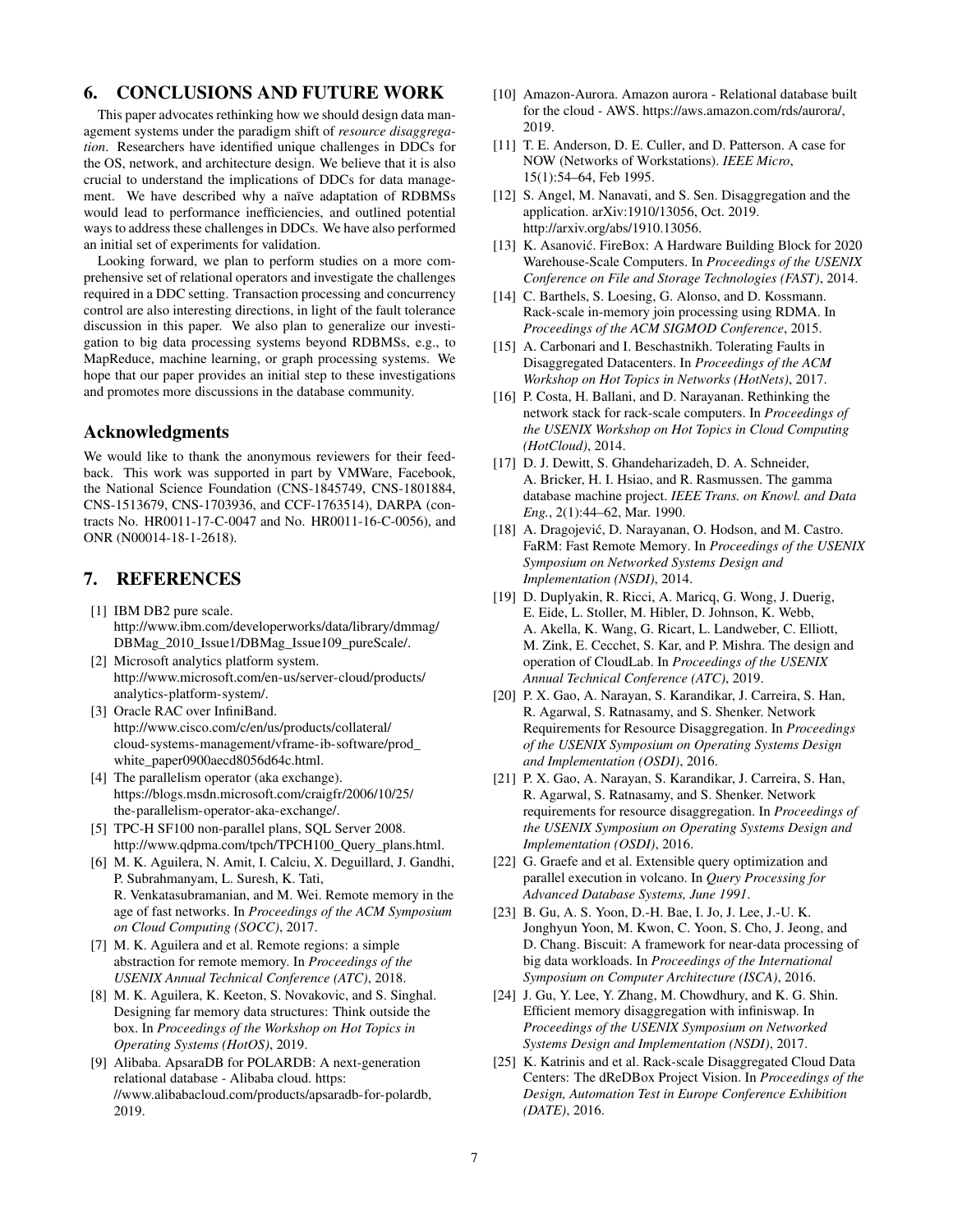# 6. CONCLUSIONS AND FUTURE WORK

This paper advocates rethinking how we should design data management systems under the paradigm shift of *resource disaggregation*. Researchers have identified unique challenges in DDCs for the OS, network, and architecture design. We believe that it is also crucial to understand the implications of DDCs for data management. We have described why a naïve adaptation of RDBMSs would lead to performance inefficiencies, and outlined potential ways to address these challenges in DDCs. We have also performed an initial set of experiments for validation.

Looking forward, we plan to perform studies on a more comprehensive set of relational operators and investigate the challenges required in a DDC setting. Transaction processing and concurrency control are also interesting directions, in light of the fault tolerance discussion in this paper. We also plan to generalize our investigation to big data processing systems beyond RDBMSs, e.g., to MapReduce, machine learning, or graph processing systems. We hope that our paper provides an initial step to these investigations and promotes more discussions in the database community.

## Acknowledgments

We would like to thank the anonymous reviewers for their feedback. This work was supported in part by VMWare, Facebook, the National Science Foundation (CNS-1845749, CNS-1801884, CNS-1513679, CNS-1703936, and CCF-1763514), DARPA (contracts No. HR0011-17-C-0047 and No. HR0011-16-C-0056), and ONR (N00014-18-1-2618).

## 7. REFERENCES

- <span id="page-6-22"></span>[1] IBM DB2 pure scale. [http://www.ibm.com/developerworks/data/library/dmmag/](http://www.ibm.com/developerworks/data/library/dmmag/ DBMag_2010_Issue1/DBMag_Issue109_pureScale/) [DBMag\\_2010\\_Issue1/DBMag\\_Issue109\\_pureScale/.](http://www.ibm.com/developerworks/data/library/dmmag/ DBMag_2010_Issue1/DBMag_Issue109_pureScale/)
- <span id="page-6-23"></span>[2] Microsoft analytics platform system. [http://www.microsoft.com/en-us/server-cloud/products/](http://www.microsoft.com/en-us/server-cloud/products/analytics-platform-system/) [analytics-platform-system/.](http://www.microsoft.com/en-us/server-cloud/products/analytics-platform-system/)
- <span id="page-6-24"></span>[3] Oracle RAC over InfiniBand. [http://www.cisco.com/c/en/us/products/collateral/](http://www.cisco.com/c/en/us/products/collateral/cloud-systems-management/vframe-ib-software/prod_white_paper0900aecd8056d64c.html) [cloud-systems-management/vframe-ib-software/prod\\_](http://www.cisco.com/c/en/us/products/collateral/cloud-systems-management/vframe-ib-software/prod_white_paper0900aecd8056d64c.html) [white\\_paper0900aecd8056d64c.html.](http://www.cisco.com/c/en/us/products/collateral/cloud-systems-management/vframe-ib-software/prod_white_paper0900aecd8056d64c.html)
- <span id="page-6-13"></span>[4] The parallelism operator (aka exchange). [https://blogs.msdn.microsoft.com/craigfr/2006/10/25/](https://blogs.msdn.microsoft.com/craigfr/2006/10/25/the-parallelism-operator-aka-exchange/) [the-parallelism-operator-aka-exchange/.](https://blogs.msdn.microsoft.com/craigfr/2006/10/25/the-parallelism-operator-aka-exchange/)
- <span id="page-6-16"></span>[5] TPC-H SF100 non-parallel plans, SQL Server 2008. [http://www.qdpma.com/tpch/TPCH100\\_Query\\_plans.html.](http://www.qdpma.com/tpch/TPCH100_Query_plans.html)
- <span id="page-6-20"></span>[6] M. K. Aguilera, N. Amit, I. Calciu, X. Deguillard, J. Gandhi, P. Subrahmanyam, L. Suresh, K. Tati, R. Venkatasubramanian, and M. Wei. Remote memory in the age of fast networks. In *Proceedings of the ACM Symposium on Cloud Computing (SOCC)*, 2017.
- <span id="page-6-21"></span>[7] M. K. Aguilera and et al. Remote regions: a simple abstraction for remote memory. In *Proceedings of the USENIX Annual Technical Conference (ATC)*, 2018.
- <span id="page-6-8"></span>[8] M. K. Aguilera, K. Keeton, S. Novakovic, and S. Singhal. Designing far memory data structures: Think outside the box. In *Proceedings of the Workshop on Hot Topics in Operating Systems (HotOS)*, 2019.
- <span id="page-6-5"></span>[9] Alibaba. ApsaraDB for POLARDB: A next-generation relational database - Alibaba cloud. [https:](https://www.alibabacloud.com/products/apsaradb-for-polardb) [//www.alibabacloud.com/products/apsaradb-for-polardb,](https://www.alibabacloud.com/products/apsaradb-for-polardb) 2019.
- <span id="page-6-4"></span>[10] Amazon-Aurora. Amazon aurora - Relational database built for the cloud - AWS. [https://aws.amazon.com/rds/aurora/,](https://aws.amazon.com/rds/aurora/) 2019.
- <span id="page-6-0"></span>[11] T. E. Anderson, D. E. Culler, and D. Patterson. A case for NOW (Networks of Workstations). *IEEE Micro*, 15(1):54–64, Feb 1995.
- <span id="page-6-18"></span>[12] S. Angel, M. Nanavati, and S. Sen. Disaggregation and the application. arXiv:1910/13056, Oct. 2019. [http://arxiv.org/abs/1910.13056.](http://arxiv.org/abs/1910.13056)
- <span id="page-6-2"></span>[13] K. Asanović. FireBox: A Hardware Building Block for 2020 Warehouse-Scale Computers. In *Proceedings of the USENIX Conference on File and Storage Technologies (FAST)*, 2014.
- <span id="page-6-7"></span>[14] C. Barthels, S. Loesing, G. Alonso, and D. Kossmann. Rack-scale in-memory join processing using RDMA. In *Proceedings of the ACM SIGMOD Conference*, 2015.
- <span id="page-6-17"></span>[15] A. Carbonari and I. Beschastnikh. Tolerating Faults in Disaggregated Datacenters. In *Proceedings of the ACM Workshop on Hot Topics in Networks (HotNets)*, 2017.
- <span id="page-6-12"></span>[16] P. Costa, H. Ballani, and D. Narayanan. Rethinking the network stack for rack-scale computers. In *Proceedings of the USENIX Workshop on Hot Topics in Cloud Computing (HotCloud)*, 2014.
- <span id="page-6-1"></span>[17] D. J. Dewitt, S. Ghandeharizadeh, D. A. Schneider, A. Bricker, H. I. Hsiao, and R. Rasmussen. The gamma database machine project. *IEEE Trans. on Knowl. and Data Eng.*, 2(1):44–62, Mar. 1990.
- <span id="page-6-6"></span>[18] A. Dragojević, D. Narayanan, O. Hodson, and M. Castro. FaRM: Fast Remote Memory. In *Proceedings of the USENIX Symposium on Networked Systems Design and Implementation (NSDI)*, 2014.
- <span id="page-6-15"></span>[19] D. Duplyakin, R. Ricci, A. Maricq, G. Wong, J. Duerig, E. Eide, L. Stoller, M. Hibler, D. Johnson, K. Webb, A. Akella, K. Wang, G. Ricart, L. Landweber, C. Elliott, M. Zink, E. Cecchet, S. Kar, and P. Mishra. The design and operation of CloudLab. In *Proceedings of the USENIX Annual Technical Conference (ATC)*, 2019.
- <span id="page-6-10"></span>[20] P. X. Gao, A. Narayan, S. Karandikar, J. Carreira, S. Han, R. Agarwal, S. Ratnasamy, and S. Shenker. Network Requirements for Resource Disaggregation. In *Proceedings of the USENIX Symposium on Operating Systems Design and Implementation (OSDI)*, 2016.
- <span id="page-6-19"></span>[21] P. X. Gao, A. Narayan, S. Karandikar, J. Carreira, S. Han, R. Agarwal, S. Ratnasamy, and S. Shenker. Network requirements for resource disaggregation. In *Proceedings of the USENIX Symposium on Operating Systems Design and Implementation (OSDI)*, 2016.
- <span id="page-6-14"></span>[22] G. Graefe and et al. Extensible query optimization and parallel execution in volcano. In *Query Processing for Advanced Database Systems, June 1991*.
- <span id="page-6-9"></span>[23] B. Gu, A. S. Yoon, D.-H. Bae, I. Jo, J. Lee, J.-U. K. Jonghyun Yoon, M. Kwon, C. Yoon, S. Cho, J. Jeong, and D. Chang. Biscuit: A framework for near-data processing of big data workloads. In *Proceedings of the International Symposium on Computer Architecture (ISCA)*, 2016.
- <span id="page-6-11"></span>[24] J. Gu, Y. Lee, Y. Zhang, M. Chowdhury, and K. G. Shin. Efficient memory disaggregation with infiniswap. In *Proceedings of the USENIX Symposium on Networked Systems Design and Implementation (NSDI)*, 2017.
- <span id="page-6-3"></span>[25] K. Katrinis and et al. Rack-scale Disaggregated Cloud Data Centers: The dReDBox Project Vision. In *Proceedings of the Design, Automation Test in Europe Conference Exhibition (DATE)*, 2016.